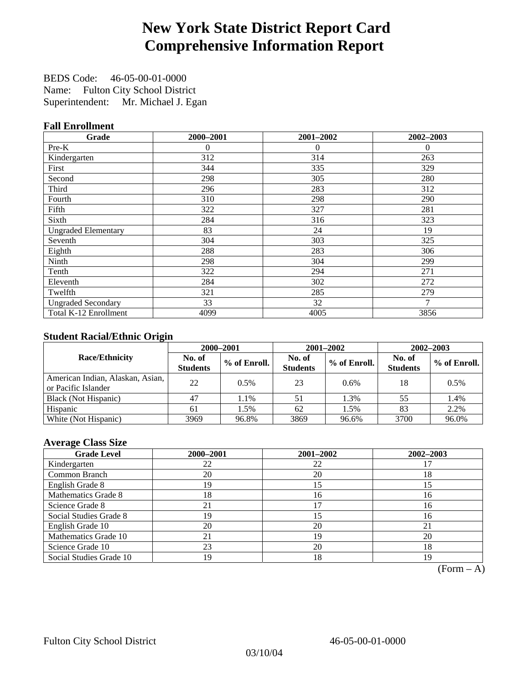# **New York State District Report Card Comprehensive Information Report**

BEDS Code: 46-05-00-01-0000 Name: Fulton City School District Superintendent: Mr. Michael J. Egan

### **Fall Enrollment**

| Grade                      | 2000-2001 | 2001-2002 | 2002-2003 |
|----------------------------|-----------|-----------|-----------|
| Pre-K                      | 0         | $\theta$  | $\theta$  |
| Kindergarten               | 312       | 314       | 263       |
| First                      | 344       | 335       | 329       |
| Second                     | 298       | 305       | 280       |
| Third                      | 296       | 283       | 312       |
| Fourth                     | 310       | 298       | 290       |
| Fifth                      | 322       | 327       | 281       |
| Sixth                      | 284       | 316       | 323       |
| <b>Ungraded Elementary</b> | 83        | 24        | 19        |
| Seventh                    | 304       | 303       | 325       |
| Eighth                     | 288       | 283       | 306       |
| Ninth                      | 298       | 304       | 299       |
| Tenth                      | 322       | 294       | 271       |
| Eleventh                   | 284       | 302       | 272       |
| Twelfth                    | 321       | 285       | 279       |
| <b>Ungraded Secondary</b>  | 33        | 32        | 7         |
| Total K-12 Enrollment      | 4099      | 4005      | 3856      |

### **Student Racial/Ethnic Origin**

|                                                         |                           | 2000-2001<br>2001-2002<br>2002-2003 |                           |              |                           |                |
|---------------------------------------------------------|---------------------------|-------------------------------------|---------------------------|--------------|---------------------------|----------------|
| <b>Race/Ethnicity</b>                                   | No. of<br><b>Students</b> | % of Enroll.                        | No. of<br><b>Students</b> | % of Enroll. | No. of<br><b>Students</b> | $%$ of Enroll. |
| American Indian, Alaskan, Asian,<br>or Pacific Islander | 22                        | 0.5%                                | 23                        | 0.6%         | 18                        | 0.5%           |
| Black (Not Hispanic)                                    | 47                        | 1.1%                                | 51                        | 1.3%         | 55                        | 1.4%           |
| Hispanic                                                | 61                        | 1.5%                                | 62                        | 1.5%         | 83                        | 2.2%           |
| White (Not Hispanic)                                    | 3969                      | 96.8%                               | 3869                      | 96.6%        | 3700                      | 96.0%          |

### **Average Class Size**

| <b>Grade Level</b>      | 2000-2001 | 2001-2002 | 2002-2003 |
|-------------------------|-----------|-----------|-----------|
| Kindergarten            | 22        | 22        |           |
| Common Branch           | 20        | 20        | 18        |
| English Grade 8         | 19        | 15        | 15        |
| Mathematics Grade 8     | 18        | 16        | 16        |
| Science Grade 8         | 21        |           | 16        |
| Social Studies Grade 8  | 19        | 15        | 16        |
| English Grade 10        | 20        | 20        | 21        |
| Mathematics Grade 10    | 21        | 19        | 20        |
| Science Grade 10        | 23        | 20        | 18        |
| Social Studies Grade 10 | 19        | 18        | 19        |

 $(Form - A)$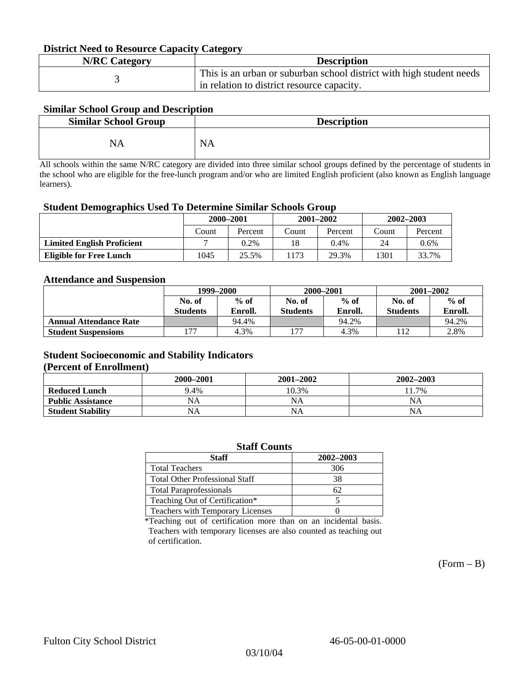#### **District Need to Resource Capacity Category**

| <b>N/RC Category</b> | <b>Description</b>                                                   |
|----------------------|----------------------------------------------------------------------|
|                      | This is an urban or suburban school district with high student needs |
|                      | in relation to district resource capacity.                           |

### **Similar School Group and Description**

| <b>Similar School Group</b> | <b>Description</b> |
|-----------------------------|--------------------|
| NA                          | <b>NA</b>          |

All schools within the same N/RC category are divided into three similar school groups defined by the percentage of students in the school who are eligible for the free-lunch program and/or who are limited English proficient (also known as English language learners).

#### **Student Demographics Used To Determine Similar Schools Group**

| 0                                 |           |         |       |               |               |         |
|-----------------------------------|-----------|---------|-------|---------------|---------------|---------|
|                                   | 2000-2001 |         |       | $2001 - 2002$ | $2002 - 2003$ |         |
|                                   | Count     | Percent | Count | Percent       | Count         | Percent |
| <b>Limited English Proficient</b> |           | $0.2\%$ | 18    | $0.4\%$       | 24            | 0.6%    |
| <b>Eligible for Free Lunch</b>    | 1045      | 25.5%   | 1173  | 29.3%         | 1301          | 33.7%   |

#### **Attendance and Suspension**

|                               | 1999–2000       |         |                 | 2000-2001 | $2001 - 2002$   |         |
|-------------------------------|-----------------|---------|-----------------|-----------|-----------------|---------|
|                               | No. of          | $%$ of  | No. of          | $%$ of    | No. of          | $%$ of  |
|                               | <b>Students</b> | Enroll. | <b>Students</b> | Enroll.   | <b>Students</b> | Enroll. |
| <b>Annual Attendance Rate</b> |                 | 94.4%   |                 | 94.2%     |                 | 94.2%   |
| <b>Student Suspensions</b>    | -77             | 4.3%    | 77              | 4.3%      |                 | 2.8%    |

### **Student Socioeconomic and Stability Indicators**

#### **(Percent of Enrollment)**

|                          | 2000–2001 | $2001 - 2002$ | $2002 - 2003$ |
|--------------------------|-----------|---------------|---------------|
| <b>Reduced Lunch</b>     | 9.4%      | 10.3%         | 11.7%         |
| <b>Public Assistance</b> | NA        | NA            | NA            |
| <b>Student Stability</b> | NА        | <b>NA</b>     | NA            |

| <b>Staff Counts</b>                   |           |  |  |  |  |
|---------------------------------------|-----------|--|--|--|--|
| <b>Staff</b>                          | 2002-2003 |  |  |  |  |
| <b>Total Teachers</b>                 | 306       |  |  |  |  |
| <b>Total Other Professional Staff</b> | 38        |  |  |  |  |
| <b>Total Paraprofessionals</b>        | 62        |  |  |  |  |
| Teaching Out of Certification*        |           |  |  |  |  |
| Teachers with Temporary Licenses      |           |  |  |  |  |

\*Teaching out of certification more than on an incidental basis. Teachers with temporary licenses are also counted as teaching out of certification.

 $(Form - B)$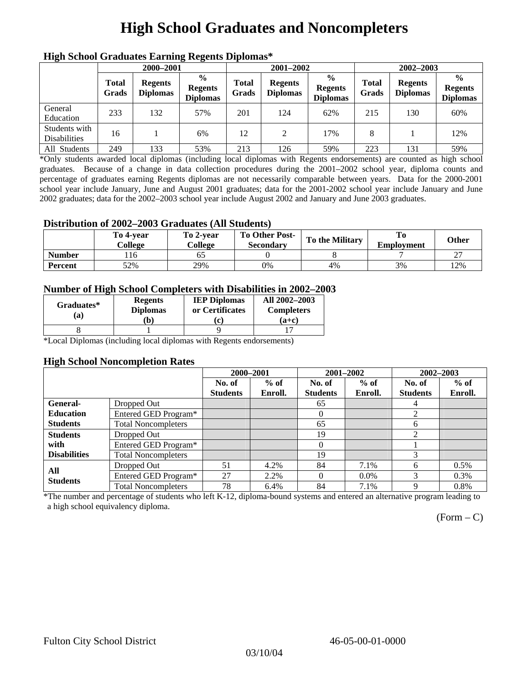# **High School Graduates and Noncompleters**

| ніді эспол этайнакі патінід кеденія вірюшая |                       |                                   |                                                    |                       |                                   |                                                    |                       |                                   |                                                    |  |
|---------------------------------------------|-----------------------|-----------------------------------|----------------------------------------------------|-----------------------|-----------------------------------|----------------------------------------------------|-----------------------|-----------------------------------|----------------------------------------------------|--|
|                                             | 2000-2001             |                                   |                                                    |                       | 2001-2002                         |                                                    |                       | 2002-2003                         |                                                    |  |
|                                             | <b>Total</b><br>Grads | <b>Regents</b><br><b>Diplomas</b> | $\frac{0}{0}$<br><b>Regents</b><br><b>Diplomas</b> | <b>Total</b><br>Grads | <b>Regents</b><br><b>Diplomas</b> | $\frac{6}{6}$<br><b>Regents</b><br><b>Diplomas</b> | <b>Total</b><br>Grads | <b>Regents</b><br><b>Diplomas</b> | $\frac{0}{0}$<br><b>Regents</b><br><b>Diplomas</b> |  |
| General<br>Education                        | 233                   | 132                               | 57%                                                | 201                   | 124                               | 62%                                                | 215                   | 130                               | 60%                                                |  |
| Students with<br><b>Disabilities</b>        | 16                    |                                   | 6%                                                 | 12                    | 2                                 | 17%                                                | 8                     |                                   | 12%                                                |  |
| All Students                                | 249                   | 133                               | 53%                                                | 213                   | 126                               | 59%                                                | 223                   | 131                               | 59%                                                |  |

### **High School Graduates Earning Regents Diplomas\***

\*Only students awarded local diplomas (including local diplomas with Regents endorsements) are counted as high school graduates. Because of a change in data collection procedures during the 2001–2002 school year, diploma counts and percentage of graduates earning Regents diplomas are not necessarily comparable between years. Data for the 2000-2001 school year include January, June and August 2001 graduates; data for the 2001-2002 school year include January and June 2002 graduates; data for the 2002–2003 school year include August 2002 and January and June 2003 graduates.

### **Distribution of 2002–2003 Graduates (All Students)**

|               | To 4-vear<br>College | To 2-vear<br>College | <b>To Other Post-</b><br>Secondary | <b>To the Military</b> | To<br><b>Employment</b> | <b>Other</b> |
|---------------|----------------------|----------------------|------------------------------------|------------------------|-------------------------|--------------|
| <b>Number</b> | . 16                 |                      |                                    |                        |                         | $\sim$<br>∸  |
| Percent       | 52%                  | 29%                  | 0%                                 | 4%                     | 3%                      | 12%          |

### **Number of High School Completers with Disabilities in 2002–2003**

| Graduates*<br>(a) | <b>Regents</b><br><b>Diplomas</b> | <b>IEP Diplomas</b><br>or Certificates | All 2002-2003<br><b>Completers</b> |  |
|-------------------|-----------------------------------|----------------------------------------|------------------------------------|--|
|                   | b)                                | 'c)                                    | $(a+c)$                            |  |
|                   |                                   |                                        |                                    |  |

\*Local Diplomas (including local diplomas with Regents endorsements)

#### **High School Noncompletion Rates**

|                     |                            | 2000-2001       |         | 2001-2002       |         | 2002-2003       |         |
|---------------------|----------------------------|-----------------|---------|-----------------|---------|-----------------|---------|
|                     |                            | No. of          | $%$ of  | No. of          | $%$ of  | No. of          | $%$ of  |
|                     |                            | <b>Students</b> | Enroll. | <b>Students</b> | Enroll. | <b>Students</b> | Enroll. |
| General-            | Dropped Out                |                 |         | 65              |         | 4               |         |
| <b>Education</b>    | Entered GED Program*       |                 |         | $\theta$        |         | 2               |         |
| <b>Students</b>     | <b>Total Noncompleters</b> |                 |         | 65              |         | 6               |         |
| <b>Students</b>     | Dropped Out                |                 |         | 19              |         | ◠               |         |
| with                | Entered GED Program*       |                 |         | $\Omega$        |         |                 |         |
| <b>Disabilities</b> | <b>Total Noncompleters</b> |                 |         | 19              |         | 3               |         |
| All                 | Dropped Out                | 51              | 4.2%    | 84              | 7.1%    | 6               | $0.5\%$ |
| <b>Students</b>     | Entered GED Program*       | 27              | 2.2%    | $\Omega$        | $0.0\%$ |                 | $0.3\%$ |
|                     | <b>Total Noncompleters</b> | 78              | 6.4%    | 84              | 7.1%    | 9               | 0.8%    |

\*The number and percentage of students who left K-12, diploma-bound systems and entered an alternative program leading to a high school equivalency diploma.

 $(Form - C)$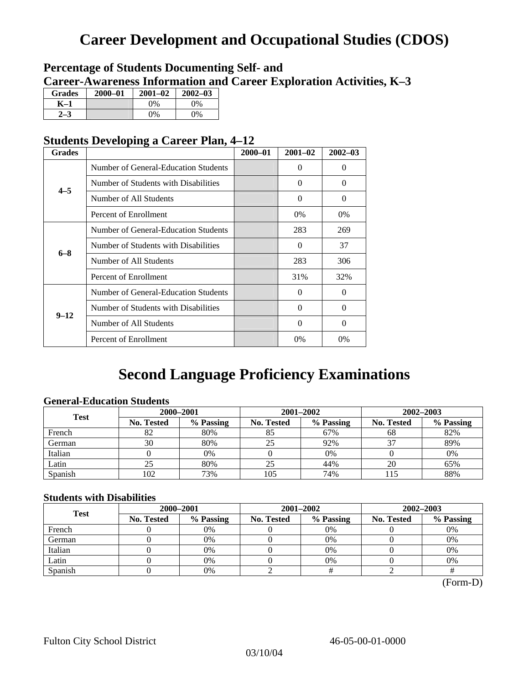## **Career Development and Occupational Studies (CDOS)**

### **Percentage of Students Documenting Self- and Career-Awareness Information and Career Exploration Activities, K–3**

| <b>Grades</b> | $2000 - 01$ | $2001 - 02$ | $2002 - 03$ |
|---------------|-------------|-------------|-------------|
| K–1           |             | $9\%$       | $0\%$       |
|               |             | $0\%$       | $0\%$       |

### **Students Developing a Career Plan, 4–12**

| <b>Grades</b> |                                      | $2000 - 01$ | $2001 - 02$ | $2002 - 03$ |
|---------------|--------------------------------------|-------------|-------------|-------------|
|               | Number of General-Education Students |             | $\theta$    | $\theta$    |
| $4 - 5$       | Number of Students with Disabilities |             | 0           | $\Omega$    |
|               | Number of All Students               |             | $\Omega$    | $\Omega$    |
|               | Percent of Enrollment                |             | $0\%$       | 0%          |
|               | Number of General-Education Students |             | 283         | 269         |
|               | Number of Students with Disabilities |             | $\theta$    | 37          |
| $6 - 8$       | Number of All Students               |             | 283         | 306         |
|               | Percent of Enrollment                |             | 31%         | 32%         |
|               | Number of General-Education Students |             | 0           | $\Omega$    |
| $9 - 12$      | Number of Students with Disabilities |             | 0           | $\Omega$    |
|               | Number of All Students               |             | 0           | $\Omega$    |
|               | Percent of Enrollment                |             | $0\%$       | $0\%$       |

## **Second Language Proficiency Examinations**

### **General-Education Students**

| <b>Test</b> | 2000-2001         |           |                   | 2001-2002 | 2002-2003         |           |  |
|-------------|-------------------|-----------|-------------------|-----------|-------------------|-----------|--|
|             | <b>No. Tested</b> | % Passing | <b>No. Tested</b> | % Passing | <b>No. Tested</b> | % Passing |  |
| French      | 82                | 80%       | 85                | 67%       | 68                | 82%       |  |
| German      | 30                | 80%       | 25                | 92%       |                   | 89%       |  |
| Italian     |                   | 0%        |                   | $0\%$     |                   | 0%        |  |
| Latin       |                   | 80%       | 25                | 44%       | 20                | 65%       |  |
| Spanish     | 102               | 73%       | 105               | 74%       |                   | 88%       |  |

### **Students with Disabilities**

| <b>Test</b> | 2000-2001         |           |            | 2001-2002 | 2002-2003  |           |  |
|-------------|-------------------|-----------|------------|-----------|------------|-----------|--|
|             | <b>No. Tested</b> | % Passing | No. Tested | % Passing | No. Tested | % Passing |  |
| French      |                   | 0%        |            | $0\%$     |            | 0%        |  |
| German      |                   | 0%        |            | $0\%$     |            | 0%        |  |
| Italian     |                   | 0%        |            | 0%        |            | 0%        |  |
| Latin       |                   | 0%        |            | 0%        |            | 0%        |  |
| Spanish     |                   | 0%        |            |           |            |           |  |

(Form-D)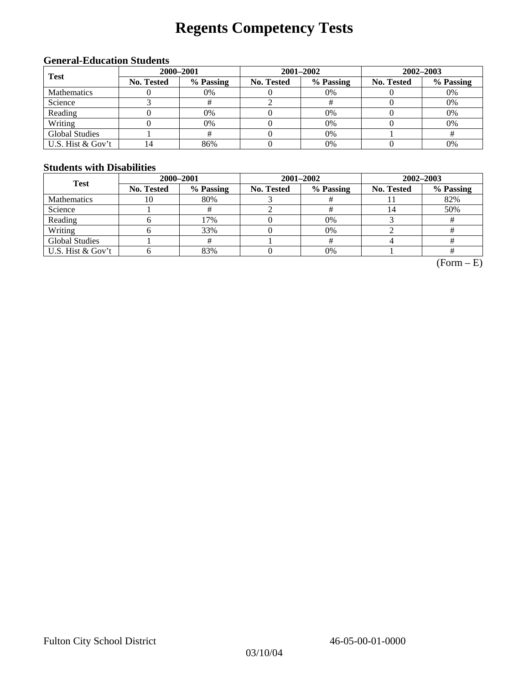# **Regents Competency Tests**

### **General-Education Students**

| <b>Test</b>           | 2000-2001         |           |            | 2001-2002 | 2002-2003  |           |  |
|-----------------------|-------------------|-----------|------------|-----------|------------|-----------|--|
|                       | <b>No. Tested</b> | % Passing | No. Tested | % Passing | No. Tested | % Passing |  |
| <b>Mathematics</b>    |                   | 0%        |            | 0%        |            | 0%        |  |
| Science               |                   |           |            |           |            | 0%        |  |
| Reading               |                   | 0%        |            | $0\%$     |            | 0%        |  |
| Writing               |                   | 0%        |            | $0\%$     |            | 0%        |  |
| <b>Global Studies</b> |                   |           |            | 0%        |            |           |  |
| U.S. Hist & Gov't     |                   | 86%       |            | 0%        |            | 0%        |  |

### **Students with Disabilities**

| <b>Test</b>           | 2000-2001         |           |            | 2001-2002 | 2002-2003               |           |  |
|-----------------------|-------------------|-----------|------------|-----------|-------------------------|-----------|--|
|                       | <b>No. Tested</b> | % Passing | No. Tested | % Passing | <b>No. Tested</b><br>14 | % Passing |  |
| <b>Mathematics</b>    | 10                | 80%       |            |           |                         | 82%       |  |
| Science               |                   |           |            |           |                         | 50%       |  |
| Reading               |                   | 17%       |            | 0%        |                         |           |  |
| Writing               |                   | 33%       |            | 0%        |                         |           |  |
| <b>Global Studies</b> |                   |           |            |           |                         |           |  |
| U.S. Hist & Gov't     |                   | 83%       |            | 0%        |                         |           |  |

 $(Form - E)$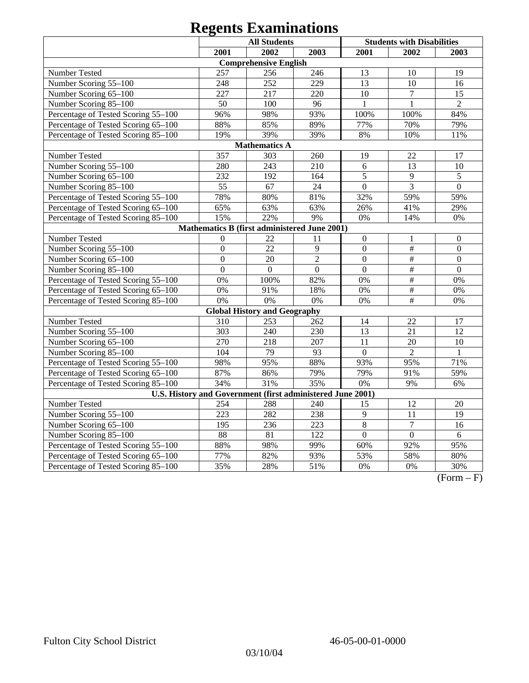|                                                            | <b>All Students</b><br><b>Students with Disabilities</b> |                                              |                  |                  |                           |                  |  |
|------------------------------------------------------------|----------------------------------------------------------|----------------------------------------------|------------------|------------------|---------------------------|------------------|--|
|                                                            | 2001                                                     | 2002                                         | 2003             | 2001             | 2002                      | 2003             |  |
|                                                            |                                                          | <b>Comprehensive English</b>                 |                  |                  |                           |                  |  |
| Number Tested                                              | 257                                                      | 256                                          | 246              | 13               | 10                        | 19               |  |
| Number Scoring 55-100                                      | 248                                                      | 252                                          | 229              | 13               | 10                        | 16               |  |
| Number Scoring 65-100                                      | 227                                                      | 217                                          | 220              | 10               | $\tau$                    | 15               |  |
| Number Scoring 85-100                                      | 50                                                       | 100                                          | 96               | 1                | $\mathbf{1}$              | $\overline{2}$   |  |
| Percentage of Tested Scoring 55-100                        | 96%                                                      | 98%                                          | 93%              | 100%             | 100%                      | 84%              |  |
| Percentage of Tested Scoring 65-100                        | 88%                                                      | 85%                                          | 89%              | 77%              | 70%                       | 79%              |  |
| Percentage of Tested Scoring 85-100                        | 19%                                                      | 39%                                          | 39%              | $8\%$            | 10%                       | 11%              |  |
| <b>Mathematics A</b>                                       |                                                          |                                              |                  |                  |                           |                  |  |
| Number Tested                                              | 357                                                      | 303                                          | 260              | 19               | 22                        | 17               |  |
| Number Scoring 55-100                                      | 280                                                      | 243                                          | 210              | 6                | 13                        | 10               |  |
| Number Scoring 65-100                                      | 232                                                      | 192                                          | 164              | 5                | 9                         | $\sqrt{5}$       |  |
| Number Scoring 85-100                                      | 55                                                       | 67                                           | 24               | $\overline{0}$   | $\overline{3}$            | $\overline{0}$   |  |
| Percentage of Tested Scoring 55-100                        | 78%                                                      | 80%                                          | 81%              | 32%              | 59%                       | 59%              |  |
| Percentage of Tested Scoring 65-100                        | 65%                                                      | 63%                                          | 63%              | 26%              | 41%                       | 29%              |  |
| Percentage of Tested Scoring 85-100                        | 15%                                                      | 22%                                          | 9%               | 0%               | 14%                       | $0\%$            |  |
|                                                            |                                                          | Mathematics B (first administered June 2001) |                  |                  |                           |                  |  |
| Number Tested                                              | $\overline{0}$                                           | 22                                           | 11               | $\overline{0}$   |                           | $\boldsymbol{0}$ |  |
| Number Scoring 55-100                                      | $\overline{0}$                                           | 22                                           | 9                | $\boldsymbol{0}$ | $\#$                      | $\boldsymbol{0}$ |  |
| Number Scoring 65-100                                      | $\mathbf{0}$                                             | 20                                           | $\overline{2}$   | $\overline{0}$   | $\#$                      | $\mathbf{0}$     |  |
| Number Scoring 85-100                                      | $\mathbf{0}$                                             | $\boldsymbol{0}$                             | $\boldsymbol{0}$ | $\overline{0}$   | $\overline{\overline{H}}$ | $\mathbf{0}$     |  |
| Percentage of Tested Scoring 55-100                        | 0%                                                       | 100%                                         | 82%              | 0%               | $\overline{\overline{H}}$ | 0%               |  |
| Percentage of Tested Scoring 65-100                        | 0%                                                       | 91%                                          | 18%              | 0%               | $\overline{\overline{H}}$ | 0%               |  |
| Percentage of Tested Scoring 85-100                        | 0%                                                       | 0%                                           | 0%               | 0%               | #                         | 0%               |  |
|                                                            |                                                          | <b>Global History and Geography</b>          |                  |                  |                           |                  |  |
| Number Tested                                              | 310                                                      | 253                                          | 262              | 14               | 22                        | 17               |  |
| Number Scoring 55-100                                      | 303                                                      | 240                                          | 230              | 13               | 21                        | 12               |  |
| Number Scoring 65-100                                      | 270                                                      | 218                                          | 207              | 11               | 20                        | 10               |  |
| Number Scoring 85-100                                      | 104                                                      | 79                                           | 93               | $\Omega$         | $\overline{2}$            | 1                |  |
| Percentage of Tested Scoring 55-100                        | 98%                                                      | 95%                                          | 88%              | 93%              | 95%                       | 71%              |  |
| Percentage of Tested Scoring 65-100                        | 87%                                                      | 86%                                          | 79%              | 79%              | 91%                       | 59%              |  |
| Percentage of Tested Scoring 85-100                        | 34%                                                      | 31%                                          | 35%              | 0%               | 9%                        | 6%               |  |
| U.S. History and Government (first administered June 2001) |                                                          |                                              |                  |                  |                           |                  |  |
| Number Tested                                              | 254                                                      | 288                                          | 240              | 15               | 12                        | $20\,$           |  |
| Number Scoring 55-100                                      | 223                                                      | 282                                          | 238              | $\overline{9}$   | $\overline{11}$           | $\overline{19}$  |  |
| Number Scoring 65-100                                      | 195                                                      | 236                                          | 223              | $\overline{8}$   | $\overline{7}$            | 16               |  |
| Number Scoring 85-100                                      | 88                                                       | $\overline{81}$                              | $\overline{122}$ | $\overline{0}$   | $\overline{0}$            | $6\,$            |  |
| Percentage of Tested Scoring 55-100                        | 88%                                                      | 98%                                          | 99%              | 60%              | 92%                       | 95%              |  |
| Percentage of Tested Scoring 65-100                        | 77%                                                      | 82%                                          | 93%              | 53%              | 58%                       | 80%              |  |
| Percentage of Tested Scoring 85-100                        | 35%                                                      | 28%                                          | 51%              | 0%               | 0%                        | 30%              |  |

 $(Form - F)$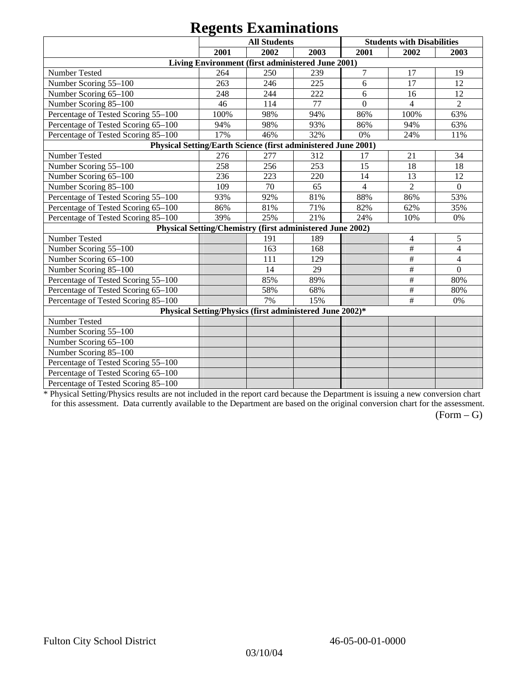|                                                               |      | <b>All Students</b>                                       |      |                | <b>Students with Disabilities</b> |                          |
|---------------------------------------------------------------|------|-----------------------------------------------------------|------|----------------|-----------------------------------|--------------------------|
|                                                               | 2001 | 2002                                                      | 2003 | 2001           | 2002                              | 2003                     |
|                                                               |      | Living Environment (first administered June 2001)         |      |                |                                   |                          |
| Number Tested                                                 | 264  | 250                                                       | 239  | 7              | 17                                | 19                       |
| Number Scoring 55-100                                         | 263  | 246                                                       | 225  | 6              | 17                                | 12                       |
| Number Scoring 65-100                                         | 248  | 244                                                       | 222  | 6              | 16                                | 12                       |
| Number Scoring 85-100                                         | 46   | 114                                                       | 77   | $\overline{0}$ | $\overline{4}$                    | $\overline{2}$           |
| Percentage of Tested Scoring 55-100                           | 100% | 98%                                                       | 94%  | 86%            | 100%                              | 63%                      |
| Percentage of Tested Scoring 65-100                           | 94%  | 98%                                                       | 93%  | 86%            | 94%                               | 63%                      |
| Percentage of Tested Scoring 85-100                           | 17%  | 46%                                                       | 32%  | 0%             | 24%                               | 11%                      |
| Physical Setting/Earth Science (first administered June 2001) |      |                                                           |      |                |                                   |                          |
| Number Tested                                                 | 276  | 277                                                       | 312  | 17             | 21                                | 34                       |
| Number Scoring 55-100                                         | 258  | 256                                                       | 253  | 15             | 18                                | 18                       |
| Number Scoring 65-100                                         | 236  | 223                                                       | 220  | 14             | 13                                | 12                       |
| Number Scoring 85-100                                         | 109  | 70                                                        | 65   | $\overline{4}$ | $\overline{2}$                    | $\mathbf{0}$             |
| Percentage of Tested Scoring 55-100                           | 93%  | 92%                                                       | 81%  | 88%            | 86%                               | 53%                      |
| Percentage of Tested Scoring 65-100                           | 86%  | 81%                                                       | 71%  | 82%            | 62%                               | 35%                      |
| Percentage of Tested Scoring 85-100                           | 39%  | 25%                                                       | 21%  | 24%            | 10%                               | 0%                       |
|                                                               |      | Physical Setting/Chemistry (first administered June 2002) |      |                |                                   |                          |
| Number Tested                                                 |      | 191                                                       | 189  |                | $\overline{4}$                    | 5                        |
| Number Scoring 55-100                                         |      | 163                                                       | 168  |                | $\#$                              | 4                        |
| Number Scoring 65-100                                         |      | 111                                                       | 129  |                | $\#$                              | $\overline{\mathcal{L}}$ |
| Number Scoring 85-100                                         |      | 14                                                        | 29   |                | $\#$                              | $\overline{0}$           |
| Percentage of Tested Scoring 55-100                           |      | 85%                                                       | 89%  |                | $\#$                              | 80%                      |
| Percentage of Tested Scoring 65-100                           |      | 58%                                                       | 68%  |                | $\#$                              | 80%                      |
| Percentage of Tested Scoring 85-100                           |      | 7%                                                        | 15%  |                | $\#$                              | 0%                       |
|                                                               |      | Physical Setting/Physics (first administered June 2002)*  |      |                |                                   |                          |
| Number Tested                                                 |      |                                                           |      |                |                                   |                          |
| Number Scoring 55-100                                         |      |                                                           |      |                |                                   |                          |
| Number Scoring 65-100                                         |      |                                                           |      |                |                                   |                          |
| Number Scoring 85-100                                         |      |                                                           |      |                |                                   |                          |
| Percentage of Tested Scoring 55-100                           |      |                                                           |      |                |                                   |                          |
| Percentage of Tested Scoring 65-100                           |      |                                                           |      |                |                                   |                          |
| Percentage of Tested Scoring 85-100                           |      |                                                           |      |                |                                   |                          |

\* Physical Setting/Physics results are not included in the report card because the Department is issuing a new conversion chart for this assessment. Data currently available to the Department are based on the original conversion chart for the assessment.

 $(Form - G)$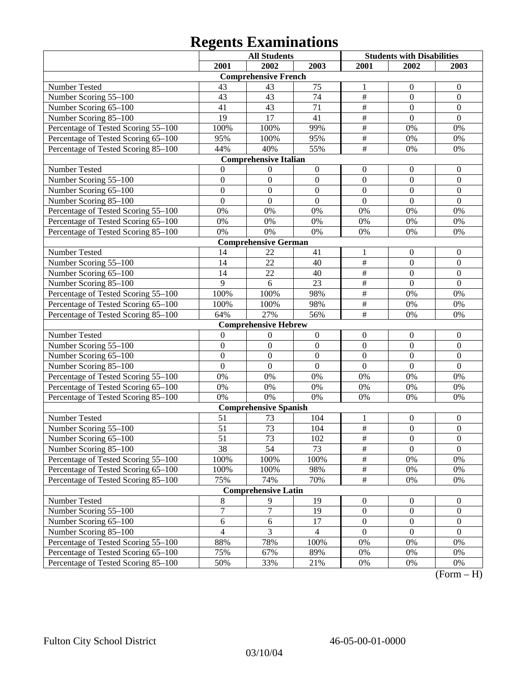|                                     |                 | <b>All Students</b>          |                  | <b>Students with Disabilities</b> |                  |                  |
|-------------------------------------|-----------------|------------------------------|------------------|-----------------------------------|------------------|------------------|
|                                     | 2001            | 2002                         | 2003             | 2001                              | 2002             | 2003             |
|                                     |                 | <b>Comprehensive French</b>  |                  |                                   |                  |                  |
| Number Tested                       | 43              | 43                           | 75               | 1                                 | $\boldsymbol{0}$ | $\overline{0}$   |
| Number Scoring 55-100               | 43              | 43                           | 74               | $\overline{\#}$                   | $\boldsymbol{0}$ | $\boldsymbol{0}$ |
| Number Scoring 65-100               | 41              | 43                           | $\overline{71}$  | $\overline{\#}$                   | $\mathbf{0}$     | $\mathbf{0}$     |
| Number Scoring 85-100               | 19              | 17                           | 41               | $\overline{\#}$                   | $\mathbf{0}$     | $\overline{0}$   |
| Percentage of Tested Scoring 55-100 | 100%            | 100%                         | 99%              | $\overline{\#}$                   | 0%               | 0%               |
| Percentage of Tested Scoring 65-100 | 95%             | 100%                         | 95%              | $\overline{\#}$                   | 0%               | 0%               |
| Percentage of Tested Scoring 85-100 | 44%             | 40%                          | 55%              | $\overline{\#}$                   | 0%               | 0%               |
|                                     |                 | <b>Comprehensive Italian</b> |                  |                                   |                  |                  |
| Number Tested                       | $\Omega$        | $\boldsymbol{0}$             | $\boldsymbol{0}$ | $\boldsymbol{0}$                  | $\boldsymbol{0}$ | $\boldsymbol{0}$ |
| Number Scoring 55-100               | $\mathbf{0}$    | $\mathbf{0}$                 | $\mathbf{0}$     | $\boldsymbol{0}$                  | $\mathbf{0}$     | $\boldsymbol{0}$ |
| Number Scoring 65-100               | $\mathbf{0}$    | $\mathbf{0}$                 | $\mathbf{0}$     | $\mathbf{0}$                      | $\mathbf{0}$     | $\boldsymbol{0}$ |
| Number Scoring 85-100               | $\mathbf{0}$    | $\mathbf{0}$                 | $\mathbf{0}$     | $\mathbf{0}$                      | $\mathbf{0}$     | $\mathbf{0}$     |
| Percentage of Tested Scoring 55-100 | $0\%$           | 0%                           | 0%               | 0%                                | 0%               | 0%               |
| Percentage of Tested Scoring 65-100 | $0\%$           | 0%                           | 0%               | 0%                                | 0%               | 0%               |
| Percentage of Tested Scoring 85-100 | 0%              | 0%                           | 0%               | 0%                                | 0%               | 0%               |
|                                     |                 | <b>Comprehensive German</b>  |                  |                                   |                  |                  |
| Number Tested                       | 14              | 22                           | 41               | $\mathbf{1}$                      | $\boldsymbol{0}$ | $\boldsymbol{0}$ |
| Number Scoring 55-100               | 14              | 22                           | 40               | $\overline{\#}$                   | $\boldsymbol{0}$ | $\boldsymbol{0}$ |
| Number Scoring 65-100               | 14              | 22                           | 40               | $\overline{\#}$                   | $\mathbf{0}$     | $\overline{0}$   |
| Number Scoring 85-100               | $\overline{9}$  | 6                            | 23               | $\overline{\#}$                   | $\mathbf{0}$     | $\overline{0}$   |
| Percentage of Tested Scoring 55-100 | 100%            | 100%                         | 98%              | $\overline{\#}$                   | 0%               | 0%               |
| Percentage of Tested Scoring 65-100 | 100%            | 100%                         | 98%              | $\overline{\#}$                   | 0%               | 0%               |
| Percentage of Tested Scoring 85-100 | 64%             | 27%                          | 56%              | $\overline{\#}$                   | 0%               | 0%               |
|                                     |                 | <b>Comprehensive Hebrew</b>  |                  |                                   |                  |                  |
| Number Tested                       | $\mathbf{0}$    | $\boldsymbol{0}$             | $\boldsymbol{0}$ | $\boldsymbol{0}$                  | $\boldsymbol{0}$ | $\boldsymbol{0}$ |
| Number Scoring 55-100               | $\mathbf{0}$    | $\mathbf{0}$                 | $\mathbf{0}$     | $\mathbf{0}$                      | $\mathbf{0}$     | $\mathbf{0}$     |
| Number Scoring 65-100               | $\mathbf{0}$    | $\mathbf{0}$                 | $\overline{0}$   | $\mathbf{0}$                      | $\mathbf{0}$     | $\boldsymbol{0}$ |
| Number Scoring 85-100               | $\mathbf{0}$    | $\mathbf{0}$                 | $\mathbf{0}$     | $\overline{0}$                    | $\mathbf{0}$     | $\mathbf{0}$     |
| Percentage of Tested Scoring 55-100 | $0\%$           | 0%                           | 0%               | 0%                                | 0%               | 0%               |
| Percentage of Tested Scoring 65-100 | $0\%$           | 0%                           | 0%               | 0%                                | 0%               | 0%               |
| Percentage of Tested Scoring 85-100 | 0%              | 0%                           | 0%               | 0%                                | 0%               | 0%               |
|                                     |                 | <b>Comprehensive Spanish</b> |                  |                                   |                  |                  |
| Number Tested                       | 51              | 73                           | 104              | 1                                 | $\boldsymbol{0}$ | $\boldsymbol{0}$ |
| Number Scoring 55-100               | 51              | 73                           | 104              | $\frac{1}{2}$                     | $\mathbf{0}$     | $\mathbf{0}$     |
| Number Scoring 65–100               | $\overline{51}$ | 73                           | 102              | $\overline{\#}$                   | $\theta$         | $\theta$         |
| Number Scoring 85-100               | 38              | 54                           | 73               | $\overline{\#}$                   | $\overline{0}$   | $\overline{0}$   |
| Percentage of Tested Scoring 55-100 | 100%            | 100%                         | 100%             | $\frac{1}{2}$                     | $0\%$            | 0%               |
| Percentage of Tested Scoring 65-100 | 100%            | 100%                         | 98%              | $\frac{1}{2}$                     | 0%               | $0\%$            |
| Percentage of Tested Scoring 85-100 | 75%             | 74%                          | 70%              | $\frac{1}{2}$                     | $0\%$            | 0%               |
|                                     |                 | <b>Comprehensive Latin</b>   |                  |                                   |                  |                  |
| Number Tested                       | $\,8\,$         | 9                            | 19               | $\mathbf{0}$                      | $\mathbf{0}$     | $\boldsymbol{0}$ |
| Number Scoring 55-100               | $\overline{7}$  | $\overline{7}$               | 19               | $\boldsymbol{0}$                  | $\boldsymbol{0}$ | $\boldsymbol{0}$ |
| Number Scoring 65-100               | 6               | 6                            | 17               | $\boldsymbol{0}$                  | $\boldsymbol{0}$ | $\overline{0}$   |
| Number Scoring 85-100               | $\overline{4}$  | 3                            | $\overline{4}$   | $\boldsymbol{0}$                  | $\boldsymbol{0}$ | $\overline{0}$   |
| Percentage of Tested Scoring 55-100 | 88%             | 78%                          | 100%             | $0\%$                             | $0\%$            | 0%               |
| Percentage of Tested Scoring 65-100 | 75%             | 67%                          | 89%              | $0\%$                             | $0\%$            | 0%               |
| Percentage of Tested Scoring 85-100 | 50%             | 33%                          | 21%              | 0%                                | 0%               | $0\%$            |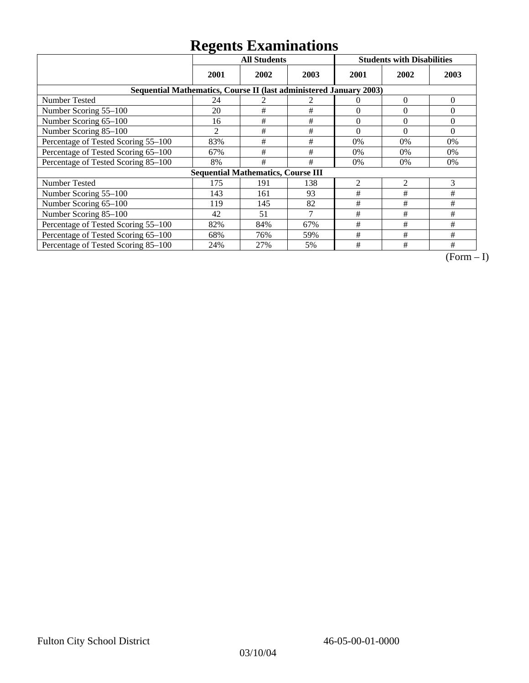|                                                                    | ັ<br><b>All Students</b> |                                           |      | <b>Students with Disabilities</b> |                |                |
|--------------------------------------------------------------------|--------------------------|-------------------------------------------|------|-----------------------------------|----------------|----------------|
|                                                                    | 2001                     | 2002                                      | 2003 | 2001                              | 2002           | 2003           |
| Sequential Mathematics, Course II (last administered January 2003) |                          |                                           |      |                                   |                |                |
| <b>Number Tested</b>                                               | 24                       |                                           | 2    | $\Omega$                          | $\Omega$       | $\overline{0}$ |
| Number Scoring 55-100                                              | 20                       | #                                         | #    | $\theta$                          | $\theta$       | $\Omega$       |
| Number Scoring 65-100                                              | 16                       | #                                         | #    | $\theta$                          | $\theta$       | $\Omega$       |
| Number Scoring 85-100                                              | 2                        | $\#$                                      | #    | $\theta$                          | $\theta$       | $\Omega$       |
| Percentage of Tested Scoring 55-100                                | 83%                      | #                                         | #    | 0%                                | 0%             | 0%             |
| Percentage of Tested Scoring 65-100                                | 67%                      | #                                         | #    | $0\%$                             | 0%             | $0\%$          |
| Percentage of Tested Scoring 85-100                                | 8%                       | #                                         | #    | 0%                                | 0%             | 0%             |
|                                                                    |                          | <b>Sequential Mathematics, Course III</b> |      |                                   |                |                |
| <b>Number Tested</b>                                               | 175                      | 191                                       | 138  | $\overline{2}$                    | $\overline{2}$ | 3              |
| Number Scoring 55-100                                              | 143                      | 161                                       | 93   | #                                 | #              | #              |
| Number Scoring 65-100                                              | 119                      | 145                                       | 82   | #                                 | #              | #              |
| Number Scoring 85-100                                              | 42                       | 51                                        | 7    | #                                 | #              | #              |
| Percentage of Tested Scoring 55-100                                | 82%                      | 84%                                       | 67%  | #                                 | #              | #              |
| Percentage of Tested Scoring 65-100                                | 68%                      | 76%                                       | 59%  | #                                 | #              | #              |
| Percentage of Tested Scoring 85-100                                | 24%                      | 27%                                       | 5%   | #                                 | #              | #              |

 $\overline{(Form-I)}$ 

03/10/04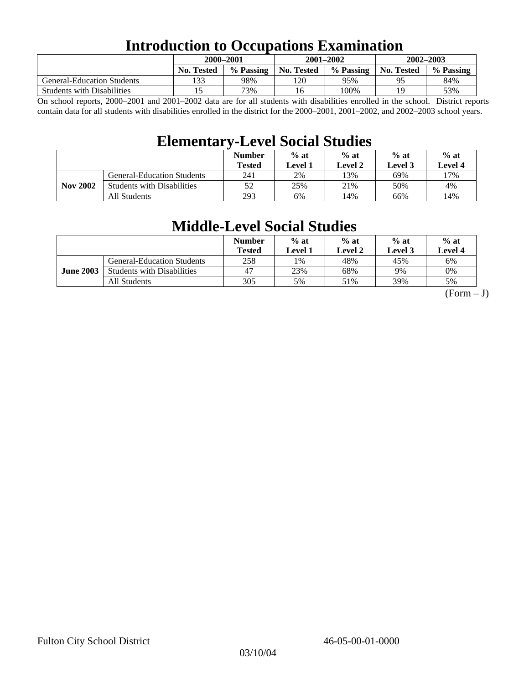### **Introduction to Occupations Examination**

|                                   |                   | 2000-2001 |            | $2001 - 2002$ | $2002 - 2003$ |           |  |
|-----------------------------------|-------------------|-----------|------------|---------------|---------------|-----------|--|
|                                   | <b>No. Tested</b> | % Passing | No. Tested | % Passing     | No. Tested    | % Passing |  |
| <b>General-Education Students</b> | 133               | 98%       | 120        | 95%           | ۵ς            | 84%       |  |
| <b>Students with Disabilities</b> |                   | 73%       | 16         | 100%          | 19            | 53%       |  |

On school reports, 2000–2001 and 2001–2002 data are for all students with disabilities enrolled in the school. District reports contain data for all students with disabilities enrolled in the district for the 2000–2001, 2001–2002, and 2002–2003 school years.

### **Elementary-Level Social Studies**

|                 |                                   | <b>Number</b><br><b>Tested</b> | $%$ at<br>$%$ at<br>Level 2<br>Level 1 |      | $%$ at<br>Level 3 | $%$ at<br>Level 4 |
|-----------------|-----------------------------------|--------------------------------|----------------------------------------|------|-------------------|-------------------|
| <b>Nov 2002</b> | <b>General-Education Students</b> | 241                            | 2%                                     | ! 3% | 69%               | 17%               |
|                 | <b>Students with Disabilities</b> | 52                             | 25%                                    | 21%  | 50%               | 4%                |
|                 | All Students                      | 293                            | 6%                                     | 14%  | 66%               | 14%               |

### **Middle-Level Social Studies**

|                  |                                   | <b>Number</b><br>Tested | $%$ at<br>Level 1 | $%$ at<br>Level 2 | $%$ at<br><b>Level 3</b> | $%$ at<br>Level 4 |
|------------------|-----------------------------------|-------------------------|-------------------|-------------------|--------------------------|-------------------|
| <b>June 2003</b> | <b>General-Education Students</b> | 258                     | 1%                | 48%               | 45%                      | 6%                |
|                  | <b>Students with Disabilities</b> | 47                      | 23%               | 68%               | 9%                       | 0%                |
|                  | All Students                      | 305                     | 5%                | 51%               | 39%                      | 5%                |

 $(Form - J)$